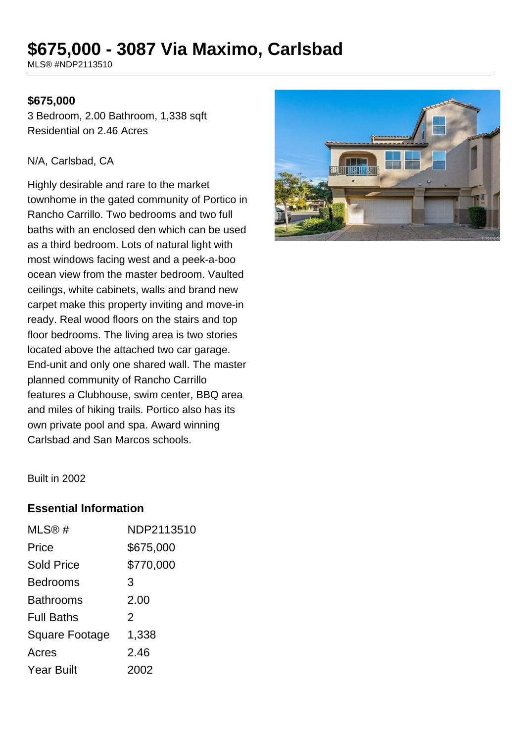# **\$675,000 - 3087 Via Maximo, Carlsbad**

MLS® #NDP2113510

### **\$675,000**

3 Bedroom, 2.00 Bathroom, 1,338 sqft Residential on 2.46 Acres

#### N/A, Carlsbad, CA

Highly desirable and rare to the market townhome in the gated community of Portico in Rancho Carrillo. Two bedrooms and two full baths with an enclosed den which can be used as a third bedroom. Lots of natural light with most windows facing west and a peek-a-boo ocean view from the master bedroom. Vaulted ceilings, white cabinets, walls and brand new carpet make this property inviting and move-in ready. Real wood floors on the stairs and top floor bedrooms. The living area is two stories located above the attached two car garage. End-unit and only one shared wall. The master planned community of Rancho Carrillo features a Clubhouse, swim center, BBQ area and miles of hiking trails. Portico also has its own private pool and spa. Award winning Carlsbad and San Marcos schools.



Built in 2002

## **Essential Information**

| MLS@#                 | NDP2113510 |
|-----------------------|------------|
| Price                 | \$675,000  |
| <b>Sold Price</b>     | \$770,000  |
| <b>Bedrooms</b>       | 3          |
| <b>Bathrooms</b>      | 2.00       |
| <b>Full Baths</b>     | 2          |
| <b>Square Footage</b> | 1,338      |
| Acres                 | 2.46       |
| <b>Year Built</b>     | 2002       |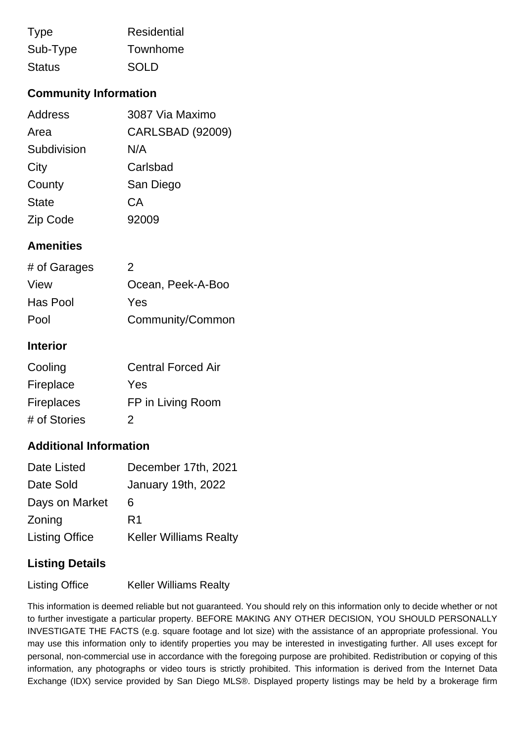| <b>Type</b>   | Residential |
|---------------|-------------|
| Sub-Type      | Townhome    |
| <b>Status</b> | <b>SOLD</b> |

# **Community Information**

| Address      | 3087 Via Maximo         |
|--------------|-------------------------|
| Area         | <b>CARLSBAD (92009)</b> |
| Subdivision  | N/A                     |
| City         | Carlsbad                |
| County       | San Diego               |
| <b>State</b> | CA                      |
| Zip Code     | 92009                   |

## **Amenities**

| # of Garages | 2                 |
|--------------|-------------------|
| View         | Ocean, Peek-A-Boo |
| Has Pool     | Yes               |
| Pool         | Community/Common  |

## **Interior**

| Cooling           | <b>Central Forced Air</b> |
|-------------------|---------------------------|
| Fireplace         | Yes                       |
| <b>Fireplaces</b> | FP in Living Room         |
| # of Stories      | 2                         |

## **Additional Information**

| Date Listed           | December 17th, 2021           |
|-----------------------|-------------------------------|
| Date Sold             | January 19th, 2022            |
| Days on Market        | 6                             |
| Zoning                | R <sub>1</sub>                |
| <b>Listing Office</b> | <b>Keller Williams Realty</b> |

## **Listing Details**

Listing Office Keller Williams Realty

This information is deemed reliable but not guaranteed. You should rely on this information only to decide whether or not to further investigate a particular property. BEFORE MAKING ANY OTHER DECISION, YOU SHOULD PERSONALLY INVESTIGATE THE FACTS (e.g. square footage and lot size) with the assistance of an appropriate professional. You may use this information only to identify properties you may be interested in investigating further. All uses except for personal, non-commercial use in accordance with the foregoing purpose are prohibited. Redistribution or copying of this information, any photographs or video tours is strictly prohibited. This information is derived from the Internet Data Exchange (IDX) service provided by San Diego MLS®. Displayed property listings may be held by a brokerage firm